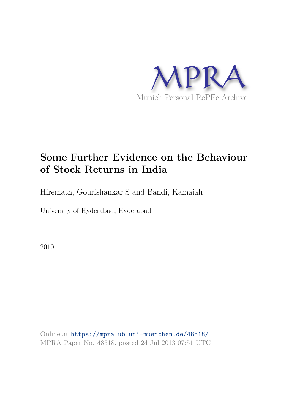

# **Some Further Evidence on the Behaviour of Stock Returns in India**

Hiremath, Gourishankar S and Bandi, Kamaiah

University of Hyderabad, Hyderabad

2010

Online at https://mpra.ub.uni-muenchen.de/48518/ MPRA Paper No. 48518, posted 24 Jul 2013 07:51 UTC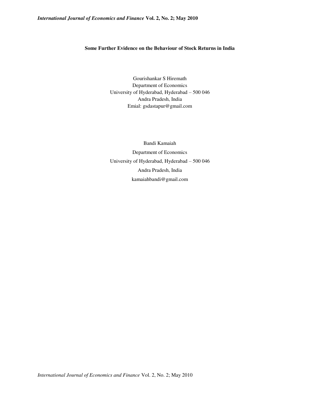# **Some Further Evidence on the Behaviour of Stock Returns in India**

Gourishankar S Hiremath Department of Economics University of Hyderabad, Hyderabad – 500 046 Andra Pradesh, India Emial: gsdastapur@gmail.com

Bandi Kamaiah Department of Economics University of Hyderabad, Hyderabad – 500 046 Andra Pradesh, India kamaiahbandi@gmail.com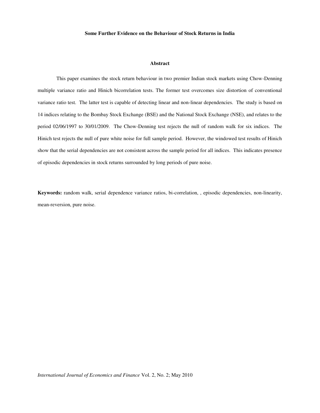#### **Some Further Evidence on the Behaviour of Stock Returns in India**

#### **Abstract**

This paper examines the stock return behaviour in two premier Indian stock markets using Chow-Denning multiple variance ratio and Hinich bicorrelation tests. The former test overcomes size distortion of conventional variance ratio test. The latter test is capable of detecting linear and non-linear dependencies. The study is based on 14 indices relating to the Bombay Stock Exchange (BSE) and the National Stock Exchange (NSE), and relates to the period 02/06/1997 to 30/01/2009. The Chow-Denning test rejects the null of random walk for six indices. The Hinich test rejects the null of pure white noise for full sample period. However, the windowed test results of Hinich show that the serial dependencies are not consistent across the sample period for all indices. This indicates presence of episodic dependencies in stock returns surrounded by long periods of pure noise.

**Keywords:** random walk, serial dependence variance ratios, bi-correlation, , episodic dependencies, non-linearity, mean-reversion, pure noise.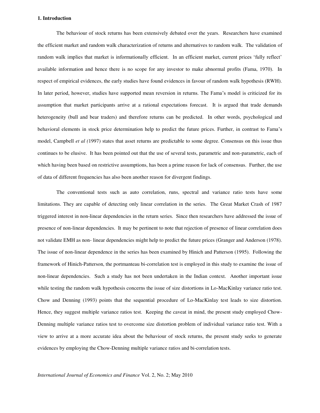#### **1. Introduction**

The behaviour of stock returns has been extensively debated over the years. Researchers have examined the efficient market and random walk characterization of returns and alternatives to random walk. The validation of random walk implies that market is informationally efficient. In an efficient market, current prices 'fully reflect' available information and hence there is no scope for any investor to make abnormal profits (Fama, 1970). In respect of empirical evidences, the early studies have found evidences in favour of random walk hypothesis (RWH). In later period, however, studies have supported mean reversion in returns. The Fama's model is criticized for its assumption that market participants arrive at a rational expectations forecast. It is argued that trade demands heterogeneity (bull and bear traders) and therefore returns can be predicted. In other words, psychological and behavioral elements in stock price determination help to predict the future prices. Further, in contrast to Fama's model, Campbell *et al (*1997) states that asset returns are predictable to some degree. Consensus on this issue thus continues to be elusive. It has been pointed out that the use of several tests, parametric and non-parametric, each of which having been based on restrictive assumptions, has been a prime reason for lack of consensus. Further, the use of data of different frequencies has also been another reason for divergent findings.

 The conventional tests such as auto correlation, runs, spectral and variance ratio tests have some limitations. They are capable of detecting only linear correlation in the series. The Great Market Crash of 1987 triggered interest in non-linear dependencies in the return series. Since then researchers have addressed the issue of presence of non-linear dependencies. It may be pertinent to note that rejection of presence of linear correlation does not validate EMH as non- linear dependencies might help to predict the future prices (Granger and Anderson (1978). The issue of non-linear dependence in the series has been examined by Hinich and Patterson (1995). Following the framework of Hinich-Patterson, the portmanteau bi-correlation test is employed in this study to examine the issue of non-linear dependencies. Such a study has not been undertaken in the Indian context. Another important issue while testing the random walk hypothesis concerns the issue of size distortions in Lo-MacKinlay variance ratio test. Chow and Denning (1993) points that the sequential procedure of Lo-MacKinlay test leads to size distortion. Hence, they suggest multiple variance ratios test. Keeping the caveat in mind, the present study employed Chow-Denning multiple variance ratios test to overcome size distortion problem of individual variance ratio test. With a view to arrive at a more accurate idea about the behaviour of stock returns, the present study seeks to generate evidences by employing the Chow-Denning multiple variance ratios and bi-correlation tests.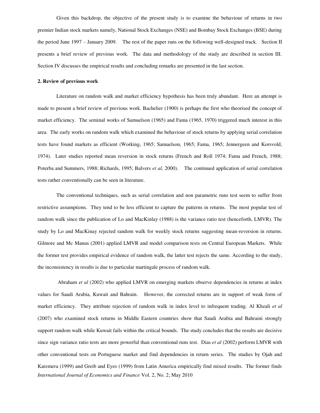Given this backdrop, the objective of the present study is to examine the behaviour of returns in two premier Indian stock markets namely, National Stock Exchanges (NSE) and Bombay Stock Exchanges (BSE) during the period June 1997 – January 2009. The rest of the paper runs on the following well-designed track. Section II presents a brief review of previous work. The data and methodology of the study are described in section III. Section IV discusses the empirical results and concluding remarks are presented in the last section.

#### **2. Review of previous work**

Literature on random walk and market efficiency hypothesis has been truly abundant. Here an attempt is made to present a brief review of previous work. Bachelier (1900) is perhaps the first who theorised the concept of market efficiency. The seminal works of Samuelson (1965) and Fama (1965, 1970) triggered much interest in this area. The early works on random walk which examined the behaviour of stock returns by applying serial correlation tests have found markets as efficient (Working, 1965; Samuelson, 1965; Fama, 1965; Jennergeen and Korsvold, 1974). Later studies reported mean reversion in stock returns (French and Roll 1974; Fama and French, 1988; Poterba and Summers, 1988; Richards, 1995; Balvers *et al,* 2000). The continued application of serial correlation tests rather conventionally can be seen in literature.

 The conventional techniques, such as serial correlation and non parametric runs test seem to suffer from restrictive assumptions. They tend to be less efficient to capture the patterns in returns. The most popular test of random walk since the publication of Lo and MacKinlay (1988) is the variance ratio test (henceforth, LMVR). The study by Lo and MacKinay rejected random walk for weekly stock returns suggesting mean-reversion in returns. Gilmore and Mc Manus (2001) applied LMVR and model comparison tests on Central European Markets. While the former test provides empirical evidence of random walk, the latter test rejects the same. According to the study, the inconsistency in results is due to particular martingale process of random walk.

*International Journal of Economics and Finance* Vol. 2, No. 2; May 2010 Abraham *et al* (2002) who applied LMVR on emerging markets observe dependencies in returns at index values for Saudi Arabia, Kuwait and Bahrain. However, the corrected returns are in support of weak form of market efficiency. They attribute rejection of random walk in index level to infrequent trading. Al Khzali *et al* (2007) who examined stock returns in Middle Eastern countries show that Saudi Arabia and Bahraini strongly support random walk while Kuwait fails within the critical bounds. The study concludes that the results are decisive since sign variance ratio tests are more powerful than conventional runs test. Dias *et al* (2002) perform LMVR with other conventional tests on Portuguese market and find dependencies in return series. The studies by Ojah and Karemera (1999) and Greib and Eyes (1999) from Latin America empirically find mixed results. The former finds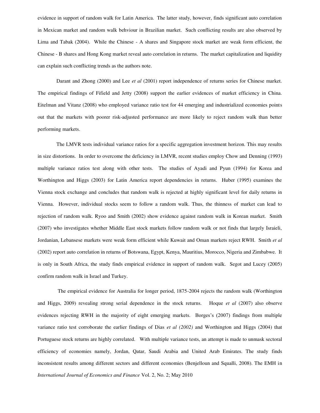evidence in support of random walk for Latin America. The latter study, however, finds significant auto correlation in Mexican market and random walk behviour in Brazilian market. Such conflicting results are also observed by Lima and Tabak (2004). While the Chinese - A shares and Singapore stock market are weak form efficient, the Chinese - B shares and Hong Kong market reveal auto correlation in returns. The market capitalization and liquidity can explain such conflicting trends as the authors note.

Darant and Zhong (2000) and Lee *et al* (2001) report independence of returns series for Chinese market. The empirical findings of Fifield and Jetty (2008) support the earlier evidences of market efficiency in China. Eitelman and Vitanz (2008) who employed variance ratio test for 44 emerging and industrialized economies points out that the markets with poorer risk-adjusted performance are more likely to reject random walk than better performing markets.

The LMVR tests individual variance ratios for a specific aggregation investment horizon. This may results in size distortions. In order to overcome the deficiency in LMVR, recent studies employ Chow and Denning (1993) multiple variance ratios test along with other tests. The studies of Ayadi and Pyun (1994) for Korea and Worthington and Higgs (2003) for Latin America report dependencies in returns. Huber (1995) examines the Vienna stock exchange and concludes that random walk is rejected at highly significant level for daily returns in Vienna. However, individual stocks seem to follow a random walk. Thus, the thinness of market can lead to rejection of random walk. Ryoo and Smith (2002) show evidence against random walk in Korean market. Smith (2007) who investigates whether Middle East stock markets follow random walk or not finds that largely Israieli, Jordanian, Lebansese markets were weak form efficient while Kuwait and Oman markets reject RWH. Smith *et al*  (2002) report auto correlation in returns of Botswana, Egypt, Kenya, Mauritius, Morocco, Nigeria and Zimbabwe. It is only in South Africa, the study finds empirical evidence in support of random walk. Segot and Lucey (2005) confirm random walk in Israel and Turkey.

*International Journal of Economics and Finance* Vol. 2, No. 2; May 2010 The empirical evidence for Australia for longer period, 1875-2004 rejects the random walk (Worthington and Higgs, 2009) revealing strong serial dependence in the stock returns. Hoque *et al* (2007) also observe evidences rejecting RWH in the majority of eight emerging markets. Borges's (2007) findings from multiple variance ratio test corroborate the earlier findings of Dias *et al (2002)* and Worthington and Higgs (2004) that Portuguese stock returns are highly correlated. With multiple variance tests, an attempt is made to unmask sectoral efficiency of economies namely, Jordan, Qatar, Saudi Arabia and United Arab Emirates. The study finds inconsistent results among different sectors and different economies (Benjelloun and Squalli, 2008). The EMH in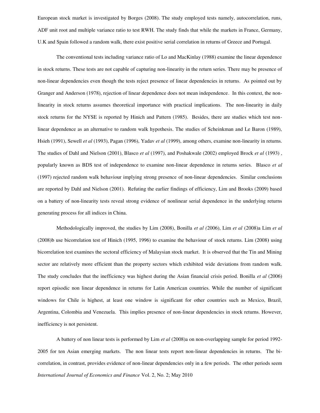European stock market is investigated by Borges (2008). The study employed tests namely, autocorrelation, runs, ADF unit root and multiple variance ratio to test RWH. The study finds that while the markets in France, Germany, U.K and Spain followed a random walk, there exist positive serial correlation in returns of Greece and Portugal.

The conventional tests including variance ratio of Lo and MacKinlay (1988) examine the linear dependence in stock returns. These tests are not capable of capturing non-linearity in the return series. There may be presence of non-linear dependencies even though the tests reject presence of linear dependencies in returns. As pointed out by Granger and Anderson (1978), rejection of linear dependence does not mean independence. In this context, the nonlinearity in stock returns assumes theoretical importance with practical implications. The non-linearity in daily stock returns for the NYSE is reported by Hinich and Pattern (1985). Besides, there are studies which test nonlinear dependence as an alternative to random walk hypothesis. The studies of Scheinkman and Le Baron (1989), Hsieh (1991), Sewell *et al* (1993), Pagan (1996), Yadav *et al* (1999), among others, examine non-linearity in returns. The studies of Dahl and Nielson (2001), Blasco *et al* (1997), and Poshakwale (2002) employed Brock *et al* (1993) , popularly known as BDS test of independence to examine non-linear dependence in returns series. Blasco *et al*  (1997) rejected random walk behaviour implying strong presence of non-linear dependencies. Similar conclusions are reported by Dahl and Nielson (2001). Refuting the earlier findings of efficiency, Lim and Brooks (2009) based on a battery of non-linearity tests reveal strong evidence of nonlinear serial dependence in the underlying returns generating process for all indices in China.

 Methodologically improved, the studies by Lim (2008), Bonilla *et al (*2006), Lim *et al* (2008)a Lim *et al*  (2008)b use bicorrelation test of Hinich (1995, 1996) to examine the behaviour of stock returns. Lim (2008**)** using bicorrelation test examines the sectoral efficiency of Malaysian stock market. It is observed that the Tin and Mining sector are relatively more efficient than the property sectors which exhibited wide deviations from random walk. The study concludes that the inefficiency was highest during the Asian financial crisis period. Bonilla *et al* (2006) report episodic non linear dependence in returns for Latin American countries. While the number of significant windows for Chile is highest, at least one window is significant for other countries such as Mexico, Brazil, Argentina, Colombia and Venezuela. This implies presence of non-linear dependencies in stock returns. However, inefficiency is not persistent.

*International Journal of Economics and Finance* Vol. 2, No. 2; May 2010 A battery of non linear tests is performed by Lim *et al* (2008)a on non-overlapping sample for period 1992- 2005 for ten Asian emerging markets. The non linear tests report non-linear dependencies in returns. The bicorrelation, in contrast, provides evidence of non-linear dependencies only in a few periods. The other periods seem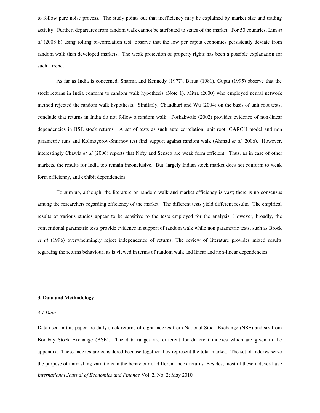to follow pure noise process. The study points out that inefficiency may be explained by market size and trading activity. Further, departures from random walk cannot be attributed to states of the market. For 50 countries, Lim *et al* (2008 b) using rolling bi-correlation test, observe that the low per capita economies persistently deviate from random walk than developed markets. The weak protection of property rights has been a possible explanation for such a trend.

 As far as India is concerned, Sharma and Kennedy (1977), Barua (1981), Gupta (1995) observe that the stock returns in India conform to random walk hypothesis (Note 1). Mitra (2000) who employed neural network method rejected the random walk hypothesis. Similarly, Chaudhuri and Wu (2004) on the basis of unit root tests, conclude that returns in India do not follow a random walk. Poshakwale (2002) provides evidence of non-linear dependencies in BSE stock returns. A set of tests as such auto correlation, unit root, GARCH model and non parametric runs and Kolmogorov-Smirnov test find support against random walk (Ahmad *et al,* 2006). However, interestingly Chawla *et al* (2006) reports that Nifty and Sensex are weak form efficient. Thus, as in case of other markets, the results for India too remain inconclusive. But, largely Indian stock market does not conform to weak form efficiency, and exhibit dependencies.

 To sum up, although, the literature on random walk and market efficiency is vast; there is no consensus among the researchers regarding efficiency of the market. The different tests yield different results. The empirical results of various studies appear to be sensitive to the tests employed for the analysis. However, broadly, the conventional parametric tests provide evidence in support of random walk while non parametric tests, such as Brock *et al* (1996) overwhelmingly reject independence of returns. The review of literature provides mixed results regarding the returns behaviour, as is viewed in terms of random walk and linear and non-linear dependencies.

#### **3. Data and Methodology**

# *3.1 Data*

*International Journal of Economics and Finance* Vol. 2, No. 2; May 2010 Data used in this paper are daily stock returns of eight indexes from National Stock Exchange (NSE) and six from Bombay Stock Exchange (BSE). The data ranges are different for different indexes which are given in the appendix. These indexes are considered because together they represent the total market. The set of indexes serve the purpose of unmasking variations in the behaviour of different index returns. Besides, most of these indexes have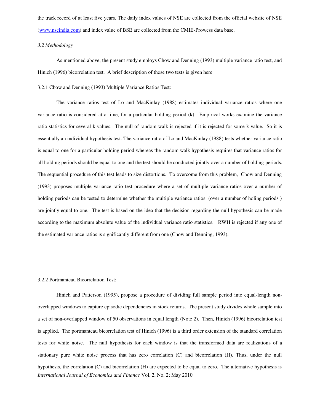the track record of at least five years. The daily index values of NSE are collected from the official website of NSE [\(www.nseindia.com\)](http://www.nseindia.com/) and index value of BSE are collected from the CMIE-Prowess data base.

#### *3.2 Methodology*

As mentioned above, the present study employs Chow and Denning (1993) multiple variance ratio test, and Hinich (1996) bicorrelation test. A brief description of these two tests is given here

#### 3.2.1 Chow and Denning (1993) Multiple Variance Ratios Test:

The variance ratios test of Lo and MacKinlay (1988) estimates individual variance ratios where one variance ratio is considered at a time, for a particular holding period (k). Empirical works examine the variance ratio statistics for several k values. The null of random walk is rejected if it is rejected for some k value. So it is essentially an individual hypothesis test. The variance ratio of Lo and MacKinlay (1988) tests whether variance ratio is equal to one for a particular holding period whereas the random walk hypothesis requires that variance ratios for all holding periods should be equal to one and the test should be conducted jointly over a number of holding periods. The sequential procedure of this test leads to size distortions. To overcome from this problem, Chow and Denning (1993) proposes multiple variance ratio test procedure where a set of multiple variance ratios over a number of holding periods can be tested to determine whether the multiple variance ratios (over a number of holing periods ) are jointly equal to one. The test is based on the idea that the decision regarding the null hypothesis can be made according to the maximum absolute value of the individual variance ratio statistics. RWH is rejected if any one of the estimated variance ratios is significantly different from one (Chow and Denning, 1993).

#### 3.2.2 Portmanteau Bicorrelation Test:

*International Journal of Economics and Finance* Vol. 2, No. 2; May 2010 Hinich and Patterson (1995), propose a procedure of dividing full sample period into equal-length nonoverlapped windows to capture episodic dependencies in stock returns. The present study divides whole sample into a set of non-overlapped window of 50 observations in equal length (Note 2). Then, Hinich (1996) bicorrelation test is applied. The portmanteau bicorrelation test of Hinich (1996) is a third order extension of the standard correlation tests for white noise. The null hypothesis for each window is that the transformed data are realizations of a stationary pure white noise process that has zero correlation (C) and bicorrelation (H). Thus, under the null hypothesis, the correlation (C) and bicorrelation (H) are expected to be equal to zero. The alternative hypothesis is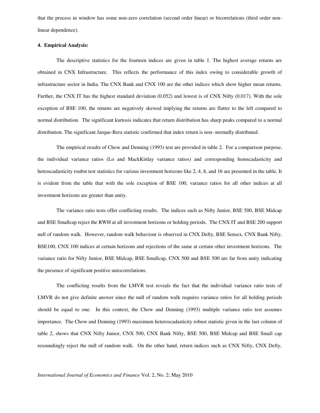that the process in window has some non-zero correlation (second order linear) or bicorrelations (third order nonlinear dependence).

#### **4. Empirical Analysis:**

The descriptive statistics for the fourteen indices are given in table 1. The highest average returns are obtained in CNX Infrastructure. This reflects the performance of this index owing to considerable growth of infrastructure sector in India. The CNX Bank and CNX 100 are the other indices which show higher mean returns. Further, the CNX IT has the highest standard deviation (0.052) and lowest is of CNX Nifty (0.017). With the sole exception of BSE 100, the returns are negatively skewed implying the returns are flatter to the left compared to normal distribution. The significant kurtosis indicates that return distribution has sharp peaks compared to a normal distribution. The significant Jarque-Bera statistic confirmed that index return is non- normally distributed.

 The empirical results of Chow and Denning (1993) test are provided in table 2. For a comparison purpose, the individual variance ratios (Lo and MackKinlay variance ratios) and corresponding homscadasticity and hetroscadasticity roubst test statistics for various investment horizons like 2, 4, 8, and 16 are presented in the table. It is evident from the table that with the sole exception of BSE 100, variance ratios for all other indices at all investment horizons are greater than unity.

 The variance ratio tests offer conflicting results. The indices such as Nifty Junior, BSE 500, BSE Midcap and BSE Smallcap reject the RWH at all investment horizons or holding periods. The CNX IT and BSE 200 support null of random walk. However, random walk behaviour is observed in CNX Defty, BSE Sensex, CNX Bank Nifty, BSE100, CNX 100 indices at certain horizons and rejections of the same at certain other investment horizons. The variance ratio for Nifty Junior, BSE Midcap, BSE Smallcap, CNX 500 and BSE 500 are far from unity indicating the presence of significant positive autocorrelations.

The conflicting results from the LMVR test reveals the fact that the individual variance ratio tests of LMVR do not give definite answer since the null of random walk requires variance ratios for all holding periods should be equal to one. In this context, the Chow and Denning (1993) multiple variance ratio test assumes importance. The Chow and Denning (1993) maximum heteroscadasticity robust statistic given in the last column of table 2, shows that CNX Nifty Junior, CNX 500, CNX Bank Nifty, BSE 500, BSE Midcap and BSE Small cap resoundingly reject the null of random walk. On the other hand, return indices such as CNX Nifty, CNX Defty,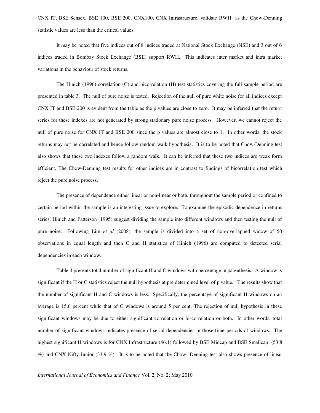CNX IT, BSE Sensex, BSE 100, BSE 200, CNX100, CNX Infrastructure, validate RWH as the Chow-Denning statistic values are less than the critical values.

 It may be noted that five indices out of 8 indices traded at National Stock Exchange (NSE) and 3 out of 6 indices traded in Bombay Stock Exchange (BSE) support RWH. This indicates inter market and intra market variations in the behaviour of stock returns.

The Hinich (1996) correlation (C) and bicorrelation (H) test statistics covering the full sample period are presented in table 3. The null of pure noise is tested. Rejection of the null of pure white noise for all indices except CNX IT and BSE 200 is evident from the table as the p values are close to zero. It may be inferred that the return series for these indexes are not generated by strong stationary pure noise process. However, we cannot reject the null of pure noise for CNX IT and BSE 200 since the p values are almost close to 1. In other words, the stock returns may not be correlated and hence follow random walk hypothesis. It is to be noted that Chow-Denning test also shows that these two indexes follow a random walk. It can be inferred that these two indices are weak form efficient. The Chow-Denning test results for other indices are in contrast to findings of bicorrelation test which reject the pure noise process.

The presence of dependence either linear or non-linear or both, throughout the sample period or confined to certain period within the sample is an interesting issue to explore. To examine the episodic dependence in returns series, Hinich and Patterson (1995) suggest dividing the sample into different windows and then testing the null of pure noise. Following Lim *et al* (2008), the sample is divided into a set of non-overlapped widow of 50 observations in equal length and then C and H statistics of Hinich (1996) are computed to detected serial dependencies in each window.

Table 4 presents total number of significant H and C windows with percentage in parenthesis. A window is significant if the H or C statistics reject the null hypothesis at pre determined level of p value. The results show that the number of significant H and C windows is less. Specifically, the percentage of significant H windows on an average is 15.6 percent while that of C windows is around 5 per cent. The rejection of null hypothesis in these significant windows may be due to either significant correlation or bi-correlation or both. In other words, total number of significant windows indicates presence of serial dependencies in those time periods of windows. The highest significant H windows is for CNX Infrastructure (46.1) followed by BSE Midcap and BSE Smallcap (53.8) %) and CNX Nifty Junior (33.9 %). It is to be noted that the Chow- Denning test also shows presence of linear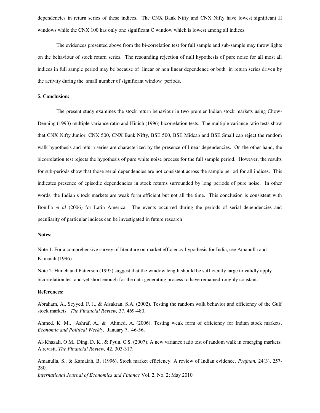dependencies in return series of these indices. The CNX Bank Nifty and CNX Nifty have lowest significant H windows while the CNX 100 has only one significant C window which is lowest among all indices.

The evidences presented above from the bi-correlation test for full sample and sub-sample may throw lights on the behaviour of stock return series. The resounding rejection of null hypothesis of pure noise for all most all indices in full sample period may be because of linear or non linear dependence or both in return series driven by the activity during the small number of significant window periods.

#### **5. Conclusion:**

 The present study examines the stock return behaviour in two premier Indian stock markets using Chow-Denning (1993) multiple variance ratio and Hinich (1996) bicorrelation tests. The multiple variance ratio tests show that CNX Nifty Junior, CNX 500, CNX Bank Nifty, BSE 500, BSE Midcap and BSE Small cap reject the random walk hypothesis and return series are characterized by the presence of linear dependencies. On the other hand, the bicorrelation test rejects the hypothesis of pure white noise process for the full sample period. However, the results for sub-periods show that those serial dependencies are not consistent across the sample period for all indices. This indicates presence of episodic dependencies in stock returns surrounded by long periods of pure noise. In other words, the Indian s tock markets are weak form efficient but not all the time. This conclusion is consistent with Bonilla *et al* (2006) for Latin America. The events occurred during the periods of serial dependencies and peculiarity of particular indices can be investigated in future research

#### **Notes:**

Note 1. For a comprehensive survey of literature on market efficiency hypothesis for India, see Amanulla and Kamaiah (1996).

Note 2. Hinich and Patterson (1995) suggest that the window length should be sufficiently large to validly apply bicorrelation test and yet short enough for the data generating process to have remained roughly constant.

## **References:**

Abraham, A., Seyyed, F. J., & Aisakran, S.A. (2002). Testing the random walk behavior and efficiency of the Gulf stock markets. *The Financial Review,* 37, 469-480.

Ahmed, K. M., Ashraf, A., & Ahmed, A. (2006). Testing weak form of efficiency for Indian stock markets. *Economic and Political Weekly,* January 7, 46-56.

Al-Khazali, O M., Ding, D. K., & Pyun, C.S. (2007). A new variance ratio test of random walk in emerging markets: A revisit. *The Financial Review,* 42, 303-317.

Amanulla, S., & Kamaiah, B. (1996). Stock market efficiency: A review of Indian evidence. *Prajnan,* 24(3), 257- 280.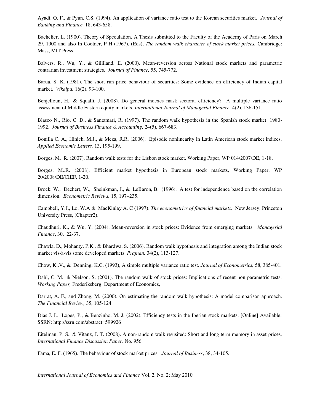Ayadi, O. F., & Pyun, C.S. (1994). An application of variance ratio test to the Korean securities market. *Journal of Banking and Finance,* 18, 643-658.

Bachelier, L. (1900). Theory of Speculation, A Thesis submitted to the Faculty of the Academy of Paris on March 29, 1900 and also In Cootner, P H (1967), (Eds), *The random walk character of stock market prices,* Cambridge: Mass, MIT Press.

Balvers, R., Wu, Y., & Gilliland, E. (2000). Mean-reversion across National stock markets and parametric contrarian investment strategies. *Journal of Finance,* 55, 745-772.

Barua, S. K. (1981). The short run price behaviour of securities: Some evidence on efficiency of Indian capital market. *Vikalpa,* 16(2), 93-100.

Benjelloun, H., & Squalli, J. (2008). Do general indexes mask sectoral efficiency? A multiple variance ratio assessment of Middle Eastern equity markets. *International Journal of Managerial Finance,* 4(2), 136-151.

Blasco N., Rio, C. D., & Santamari, R. (1997). The random walk hypothesis in the Spanish stock market: 1980- 1992. *Journal of Business Finance & Accounting,* 24(5), 667-683.

Bonilla C. A., Hinich, M.J., & Meza, R.R. (2006). Episodic nonlinearity in Latin American stock market indices. *Applied Economic Letters,* 13, 195-199.

Borges, M. R. (2007). Random walk tests for the Lisbon stock market, Working Paper, WP 014/2007/DE, 1-18.

Borges, M..R. (2008). Efficient market hypothesis in European stock markets, Working Paper, WP 20/2008/DE/CIEF, 1-20.

Brock, W., Dechert, W., Sheinkman, J., & LeBaron, B. (1996). A test for independence based on the correlation dimension. *Econometric Reviews,* 15, 197–235.

Campbell, Y.J., Lo, W.A & MacKinlay A. C (1997). *The econometrics of financial markets*. New Jersey: Princeton University Press, (Chapter2).

Chaudhuri, K., & Wu, Y. (2004). Mean-reversion in stock prices: Evidence from emerging markets. *Managerial Finance*, 30, 22-37.

Chawla, D., Mohanty, P.K., & Bhardwa, S. (2006). Random walk hypothesis and integration among the Indian stock market vis-à-vis some developed markets. *Prajnan,* 34(2), 113-127.

Chow, K..V., & Denning, K.C. (1993), A simple multiple variance ratio test. *Journal of Econometrics,* 58, 385-401.

Dahl, C. M., & Nielson, S. (2001). The random walk of stock prices: Implications of recent non parametric tests. *Working Paper,* Frederiksberg: Department of Economics,

Darrat, A. F., and Zhong, M. (2000). On estimating the random walk hypothesis: A model comparison approach. *The Financial Review,* 35, 105-124.

Dias J. L., Lopes, P., & Benzinho, M. J. (2002), Efficiency tests in the Iberian stock markets. [Online] Available: SSRN: http://ssrn.com/abstract=599926

Eitelman, P. S., & Vitanz, J. T. (2008). A non-random walk revisited: Short and long term memory in asset prices. *International Finance Discussion Paper,* No. 956.

Fama, E. F. (1965). The behaviour of stock market prices. *Journal of Business*, 38, 34-105.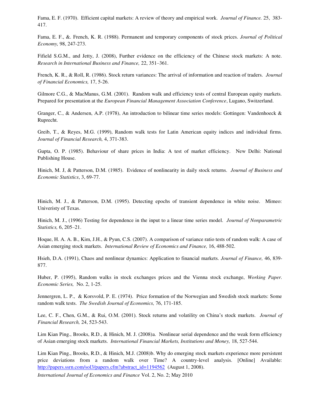Fama, E. F. (1970). Efficient capital markets: A review of theory and empirical work. *Journal of Finance.* 25, 383- 417.

Fama, E. F., &. French, K. R. (1988). Permanent and temporary components of stock prices. *Journal of Political Economy,* 98, 247-273.

Fifield S.G.M., and Jetty, J. (2008), Further evidence on the efficiency of the Chinese stock markets: A note. *Research in International Business and Finance,* 22, 351–361.

French, K. R., & Roll, R. (1986). Stock return variances: The arrival of information and reaction of traders. *Journal of Financial Economics,* 17, 5-26.

Gilmore C.G., & MacManus, G.M. (2001). Random walk and efficiency tests of central European equity markets. Prepared for presentation at the *European Financial Management Association Conference*, Lugano, Switzerland.

Granger, C., & Andersen, A.P. (1978), An introduction to bilinear time series models: Gottingen: Vandenhoeck & Ruprecht.

Greib, T., & Reyes, M.G. (1999), Random walk tests for Latin American equity indices and individual firms. *Journal of Financial Research,* 4, 371-383.

Gupta, O. P. (1985). Behaviour of share prices in India: A test of market efficiency. New Delhi: National Publishing House.

Hinich, M. J, & Patterson, D.M. (1985). Evidence of nonlinearity in daily stock returns. *Journal of Business and Economic Statistics*, 3, 69-77.

Hinich, M. J., & Patterson, D.M. (1995). Detecting epochs of transient dependence in white noise. Mimeo: Univeristy of Texas.

Hinich, M. J., (1996) Testing for dependence in the input to a linear time series model. *Journal of Nonparametric Statistics,* 6, 205–21.

Hoque, H. A. A. B., Kim, J.H., & Pyun, C.S. (2007). A comparison of variance ratio tests of random walk: A case of Asian emerging stock markets. *International Review of Economics and Finance,* 16, 488-502.

Hsieh, D.A. (1991), Chaos and nonlinear dynamics: Application to financial markets. *Journal of Finance,* 46, 839- 877.

Huber, P. (1995), Random walks in stock exchanges prices and the Vienna stock exchange, *Working Paper. Economic Series,* No. 2, 1-25.

Jennergren, L. P., & Korsvold, P. E. (1974). Price formation of the Norwegian and Swedish stock markets: Some random walk tests. *The Swedish Journal of Economics,* 76, 171-185.

Lee, C. F., Chen, G.M., & Rui, O.M. (2001). Stock returns and volatility on China's stock markets. *Journal of Financial Research,* 24, 523-543.

Lim Kian Ping., Brooks, R.D., & Hinich, M. J. (2008)a. Nonlinear serial dependence and the weak form efficiency of Asian emerging stock markets. *International Financial Markets, Institutions and Money,* 18, 527-544.

Lim Kian Ping., Brooks, R.D., & Hinich, M.J. (2008)b. Why do emerging stock markets experience more persistent price deviations from a random walk over Time? A country-level analysis. [Online] Available: [http://papers.ssrn.com/sol3/papers.cfm?abstract\\_id=1194562](http://papers.ssrn.com/sol3/papers.cfm?abstract_id=1194562) (August 1, 2008).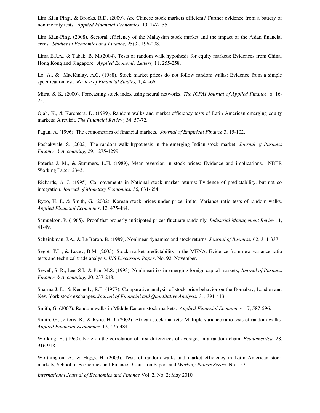Lim Kian Ping., & Brooks, R.D. (2009). Are Chinese stock markets efficient? Further evidence from a battery of nonlinearity tests. *Applied Financial Economics,* 19, 147-155.

Lim Kian-Ping. (2008). Sectoral efficiency of the Malaysian stock market and the impact of the Asian financial crisis. *Studies in Economics and Finance,* 25(3), 196-208.

Lima E.J.A., & Tabak, B. M.(2004). Tests of random walk hypothesis for equity markets: Evidences from China, Hong Kong and Singapore. *Applied Economic Letters,* 11, 255-258.

Lo, A., & MacKinlay, A.C. (1988). Stock market prices do not follow random walks: Evidence from a simple specification test. *Review of Financial Studies,* 1, 41-66.

Mitra, S. K. (2000). Forecasting stock index using neural networks. *The ICFAI Journal of Applied Finance,* 6, 16- 25.

Ojah, K., & Karemera, D. (1999). Random walks and market efficiency tests of Latin American emerging equity markets: A revisit. *The Financial Review,* 34, 57-72.

Pagan, A. (1996). The econometrics of financial markets. *Journal of Empirical Finance* 3, 15-102.

Poshakwale, S. (2002). The random walk hypothesis in the emerging Indian stock market. *Journal of Business Finance & Accounting,* 29, 1275-1299.

Poterba J. M., & Summers, L.H. (1989), Mean-reversion in stock prices: Evidence and implications. NBER Working Paper, 2343.

Richards, A. J. (1995). Co movements in National stock market returns: Evidence of predictability, but not co integration. *Journal of Monetary Economics,* 36, 631-654.

Ryoo, H. J., & Smith, G. (2002). Korean stock prices under price limits: Variance ratio tests of random walks. *Applied Financial Economics*, 12, 475-484.

Samuelson, P. (1965). Proof that properly anticipated prices fluctuate randomly, *Industrial Management Review*, 1, 41-49.

Scheinkman, J.A., & Le Baron. B. (1989). Nonlinear dynamics and stock returns, *Journal of Business,* 62, 311-337.

Segot, T.L., & Lucey, B.M. (2005), Stock market predictability in the MENA: Evidence from new variance ratio tests and technical trade analysis, *IIIS Discussion Paper*, No. 92, November.

Sewell, S. R., Lee, S I., & Pan, M.S. (1993), Nonlinearities in emerging foreign capital markets, *Journal of Business Finance & Accounting,* 20, 237-248.

Sharma J. L., & Kennedy, R.E. (1977). Comparative analysis of stock price behavior on the Bomabay, London and New York stock exchanges. *Journal of Financial and Quantitative Analysis,* 31, 391-413.

Smith, G. (2007). Random walks in Middle Eastern stock markets. *Applied Financial Economics.* 17, 587-596.

Smith, G., Jefferis, K., & Ryoo, H. J. (2002). African stock markets: Multiple variance ratio tests of random walks. *Applied Financial Economics,* 12, 475-484.

Working, H. (1960). Note on the correlation of first differences of averages in a random chain, *Econometrica,* 28, 916-918.

Worthington, A., & Higgs, H. (2003). Tests of random walks and market efficiency in Latin American stock markets, School of Economics and Finance Discussion Papers and *Working Papers Series,* No. 157.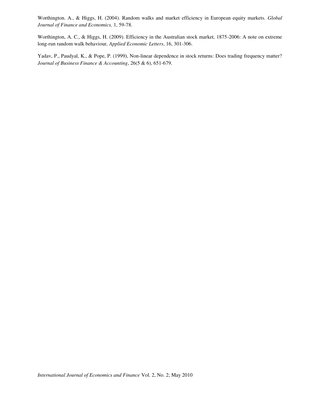Worthington. A., & Higgs, H. (2004). Random walks and market efficiency in European equity markets. *Global Journal of Finance and Economics,* 1, 59-78.

Worthington, A. C., & Higgs, H. (2009). Efficiency in the Australian stock market, 1875-2006: A note on extreme long-run random walk behaviour*, Applied Economic Letters*, 16, 301-306.

Yadav, P., Paudyal, K., & Pope, P. (1999), Non-linear dependence in stock returns: Does trading frequency matter? *Journal of Business Finance & Accounting*, 26(5 & 6), 651-679.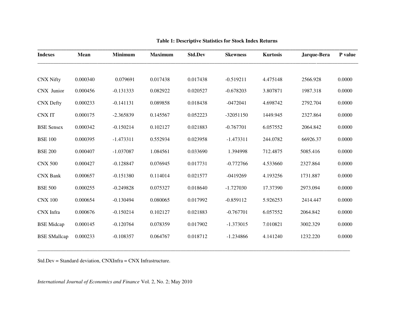| <b>Indexes</b>      | Mean     | <b>Minimum</b> | <b>Maximum</b> | <b>Std.Dev</b> | <b>Skewness</b> | <b>Kurtosis</b> | Jarque-Bera | P value |
|---------------------|----------|----------------|----------------|----------------|-----------------|-----------------|-------------|---------|
|                     |          |                |                |                |                 |                 |             |         |
| <b>CNX Nifty</b>    | 0.000340 | 0.079691       | 0.017438       | 0.017438       | $-0.519211$     | 4.475148        | 2566.928    | 0.0000  |
| CNX Junior          | 0.000456 | $-0.131333$    | 0.082922       | 0.020527       | $-0.678203$     | 3.807871        | 1987.318    | 0.0000  |
| <b>CNX</b> Defty    | 0.000233 | $-0.141131$    | 0.089858       | 0.018438       | $-0472041$      | 4.698742        | 2792.704    | 0.0000  |
| <b>CNXIT</b>        | 0.000175 | $-2.365839$    | 0.145567       | 0.052223       | $-32051150$     | 1449.945        | 2327.864    | 0.0000  |
| <b>BSE Sensex</b>   | 0.000342 | $-0.150214$    | 0.102127       | 0.021883       | $-0.767701$     | 6.057552        | 2064.842    | 0.0000  |
| <b>BSE 100</b>      | 0.000395 | $-1.473311$    | 0.552934       | 0.023958       | $-1.473311$     | 244.0782        | 66926.37    | 0.0000  |
| <b>BSE 200</b>      | 0.000407 | $-1.037087$    | 1.084561       | 0.033690       | 1.394998        | 712.4875        | 5085.416    | 0.0000  |
| <b>CNX 500</b>      | 0.000427 | $-0.128847$    | 0.076945       | 0.017731       | $-0.772766$     | 4.533660        | 2327.864    | 0.0000  |
| <b>CNX Bank</b>     | 0.000657 | $-0.151380$    | 0.114014       | 0.021577       | $-0419269$      | 4.193256        | 1731.887    | 0.0000  |
| <b>BSE 500</b>      | 0.000255 | $-0.249828$    | 0.075327       | 0.018640       | $-1.727030$     | 17.37390        | 2973.094    | 0.0000  |
| <b>CNX 100</b>      | 0.000654 | $-0.130494$    | 0.080065       | 0.017992       | $-0.859112$     | 5.926253        | 2414.447    | 0.0000  |
| CNX Infra           | 0.000676 | $-0.150214$    | 0.102127       | 0.021883       | $-0.767701$     | 6.057552        | 2064.842    | 0.0000  |
| <b>BSE</b> Midcap   | 0.000145 | $-0.120764$    | 0.078359       | 0.017902       | $-1.373015$     | 7.010821        | 3002.329    | 0.0000  |
| <b>BSE SMallcap</b> | 0.000233 | $-0.108357$    | 0.064767       | 0.018712       | $-1.234866$     | 4.141240        | 1232.220    | 0.0000  |

\_\_\_\_\_\_\_\_\_\_\_\_\_\_\_\_\_\_\_\_\_\_\_\_\_\_\_\_\_\_\_\_\_\_\_\_\_\_\_\_\_\_\_\_\_\_\_\_\_\_\_\_\_\_\_\_\_\_\_\_\_\_\_\_\_\_\_\_\_\_\_\_\_\_\_\_\_\_\_\_\_\_\_\_\_\_\_\_\_\_\_\_\_\_\_\_\_\_\_\_\_\_\_\_\_\_\_\_\_\_\_\_\_\_\_\_\_\_\_\_

# **Table 1: Descriptive Statistics for Stock Index Returns**

Std.Dev = Standard deviation, CNXInfra = CNX Infrastructure.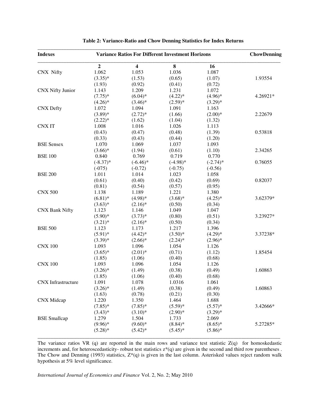| <b>Indexes</b>            | <b>Variance Ratios For Different Investment Horizons</b> | <b>ChowDenning</b>      |             |             |          |
|---------------------------|----------------------------------------------------------|-------------------------|-------------|-------------|----------|
|                           | $\overline{2}$                                           | $\overline{\mathbf{4}}$ | $\bf{8}$    | 16          |          |
| <b>CNX Nifty</b>          | 1.062                                                    | 1.053                   | 1.036       | 1.087       |          |
|                           | $(3.35)*$                                                | (1.53)                  | (0.65)      | (1.07)      | 1.93554  |
|                           | (1.93)                                                   | (0.92)                  | (0.41)      | (0.72)      |          |
| <b>CNX Nifty Junior</b>   | 1.143                                                    | 1.209                   | 1.231       | 1.072       |          |
|                           | $(7.75)^*$                                               | $(6.04)*$               | $(4.22)*$   | $(4.96)*$   | 4.26921* |
|                           | $(4.26)$ *                                               | $(3.46)$ *              | $(2.59)*$   | $(3.29)*$   |          |
| <b>CNX Defty</b>          | 1.072                                                    | 1.094                   | 1.091       | 1.163       |          |
|                           | $(3.89)*$                                                | $(2.72)^*$              | (1.66)      | $(2.00)*$   | 2.22679  |
|                           | $(2.22)^*$                                               | (1.62)                  | (1.04)      | (1.32)      |          |
| <b>CNXIT</b>              | 1.008                                                    | 1.016                   | 1.026       | 1.113       |          |
|                           | (0.43)                                                   | (0.47)                  | (0.48)      | (1.39)      | 0.53818  |
|                           | (0.33)                                                   | (0.43)                  | (0.44)      | (1.20)      |          |
| <b>BSE</b> Sensex         | 1.070                                                    | 1.069                   | 1.037       | 1.093       |          |
|                           | $(3.66)*$                                                | (1.94)                  | (0.61)      | (1.10)      | 2.34265  |
| <b>BSE 100</b>            | 0.840                                                    | 0.769                   | 0.719       | 0.770       |          |
|                           | $(-8.37)*$                                               | $(-6.46)$ *             | $(-4.98)$ * | $(-2.74)$ * | 0.76055  |
|                           | $(-075)$                                                 | $(-0.72)$               | $(-0.75)$   | $(-0.56)$   |          |
| <b>BSE 200</b>            | 1.011                                                    | 1.014                   | 1.023       | 1.058       |          |
|                           | (0.61)                                                   | (0.40)                  | (0.42)      | (0.69)      | 0.82037  |
|                           | (0.81)                                                   | (0.54)                  | (0.57)      | (0.95)      |          |
| <b>CNX 500</b>            | 1.138                                                    | 1.189                   | 1.221       | 1.380       |          |
|                           | $(6.81)$ *                                               | $(4.98)*$               | $(3.68)$ *  | $(4.25)*$   | 3.62379* |
|                           | $(3.63)*$                                                | $(2.16)^*$              | (0.50)      | (0.34)      |          |
| <b>CNX Bank Nifty</b>     | 1.123                                                    | 1.146                   | 1.049       | 1.047       |          |
|                           | $(5.90)$ *                                               | $(3.73)*$               | (0.80)      | (0.51)      | 3.23927* |
|                           | $(3.21)$ *                                               | $(2.16)^*$              | (0.50)      | (0.34)      |          |
| <b>BSE 500</b>            | 1.123                                                    | 1.173                   | 1.217       | 1.396       |          |
|                           | $(5.91)$ *                                               | $(4.42)$ *              | $(3.50)*$   | $(4.29)*$   | 3.37238* |
|                           | $(3.39)*$                                                | $(2.66)^*$              | $(2.24)$ *  | $(2.96)*$   |          |
| <b>CNX 100</b>            | 1.093                                                    | 1.096                   | 1.054       | 1.126       |          |
|                           | $(3.65)*$                                                | $(2.01)^*$              | (0.71)      | (1.12)      | 1.85454  |
|                           | (1.85)                                                   | (1.06)                  | (0.40)      | (0.68)      |          |
| <b>CNX 100</b>            | 1.093                                                    | 1.096                   | 1.054       | 1.126       |          |
|                           | $(3.26)^*$                                               | (1.49)                  | (0.38)      | (0.49)      | 1.60863  |
|                           | (1.85)                                                   | (1.06)                  | (0.40)      | (0.68)      |          |
| <b>CNX</b> Infrastructure | 1.091                                                    | 1.078                   | 1.0316      | 1.061       |          |
|                           | $(3.26)^*$                                               | (1.49)                  | (0.38)      | (0.49)      | 1.60863  |
|                           | (1.63)                                                   | (0.78)                  | (0.21)      | (0.30)      |          |
| <b>CNX</b> Midcap         | 1.220                                                    | 1.350                   | 1.464       | 1.688       |          |
|                           | $(7.85)^*$                                               | $(7.85)^*$              | $(5.59)^*$  | $(5.57)^*$  | 3.42666* |
|                           | $(3.43)*$                                                | $(3.10)*$               | $(2.90)*$   | $(3.29)^*$  |          |
| <b>BSE</b> Smallcap       | 1.279                                                    | 1.504                   | 1.733       | 2.069       |          |
|                           | $(9.96)*$                                                | $(9.60)*$               | $(8.84)$ *  | $(8.65)*$   | 5.27285* |
|                           | $(5.28)$ *                                               | $(5.42)^*$              | $(5.45)^*$  | $(5.86)*$   |          |

# **Table 2: Variance-Ratio and Chow Denning Statistics for Index Returns**

The variance ratios VR (q) are reported in the main rows and variance test statistic  $Z(q)$  for homoskedastic increments and, for heteroscedasticity- robust test statistics z\*(q) are given in the second and third row parentheses . The Chow and Denning (1993) statistics,  $Z^*(q)$  is given in the last column. Asterisked values reject random walk hypothesis at 5% level significance.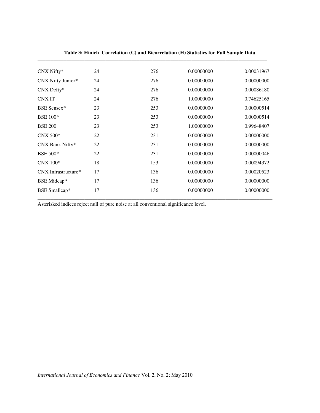| CNX Nifty*           | 24 | 276 | 0.00000000 | 0.00031967 |
|----------------------|----|-----|------------|------------|
| CNX Nifty Junior*    | 24 | 276 | 0.00000000 | 0.00000000 |
| CNX Defty*           | 24 | 276 | 0.00000000 | 0.00086180 |
| <b>CNXIT</b>         | 24 | 276 | 1.00000000 | 0.74625165 |
| <b>BSE Sensex*</b>   | 23 | 253 | 0.00000000 | 0.00000514 |
| <b>BSE 100*</b>      | 23 | 253 | 0.00000000 | 0.00000514 |
| <b>BSE 200</b>       | 23 | 253 | 1.00000000 | 0.99648407 |
| $CNX 500*$           | 22 | 231 | 0.00000000 | 0.00000000 |
| CNX Bank Nifty*      | 22 | 231 | 0.00000000 | 0.00000000 |
| <b>BSE 500*</b>      | 22 | 231 | 0.00000000 | 0.00000046 |
| $CNX$ 100 $*$        | 18 | 153 | 0.00000000 | 0.00094372 |
| CNX Infrastructure*  | 17 | 136 | 0.00000000 | 0.00020523 |
| BSE Midcap*          | 17 | 136 | 0.00000000 | 0.00000000 |
| <b>BSE</b> Smallcap* | 17 | 136 | 0.00000000 | 0.00000000 |

# **Table 3: Hinich Correlation (C) and Bicorrelation (H) Statistics for Full Sample Data**

Asterisked indices reject null of pure noise at all conventional significance level.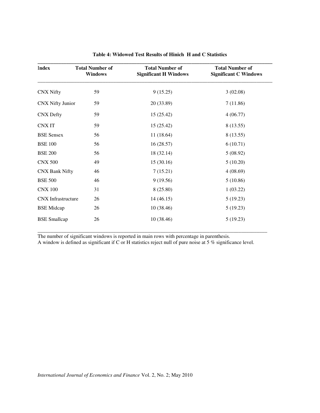| Index                     | <b>Total Number of</b><br><b>Windows</b> | <b>Total Number of</b><br><b>Significant H Windows</b> | <b>Total Number of</b><br><b>Significant C Windows</b> |
|---------------------------|------------------------------------------|--------------------------------------------------------|--------------------------------------------------------|
| <b>CNX Nifty</b>          | 59                                       | 9(15.25)                                               | 3(02.08)                                               |
| <b>CNX Nifty Junior</b>   | 59                                       | 20 (33.89)                                             | 7(11.86)                                               |
| <b>CNX</b> Defty          | 59                                       | 15(25.42)                                              | 4(06.77)                                               |
| <b>CNXIT</b>              | 59                                       | 15(25.42)                                              | 8 (13.55)                                              |
| <b>BSE</b> Sensex         | 56                                       | 11(18.64)                                              | 8 (13.55)                                              |
| <b>BSE 100</b>            | 56                                       | 16(28.57)                                              | 6(10.71)                                               |
| <b>BSE 200</b>            | 56                                       | 18 (32.14)                                             | 5(08.92)                                               |
| <b>CNX 500</b>            | 49                                       | 15(30.16)                                              | 5(10.20)                                               |
| <b>CNX Bank Nifty</b>     | 46                                       | 7(15.21)                                               | 4(08.69)                                               |
| <b>BSE 500</b>            | 46                                       | 9(19.56)                                               | 5(10.86)                                               |
| <b>CNX 100</b>            | 31                                       | 8 (25.80)                                              | 1(03.22)                                               |
| <b>CNX</b> Infrastructure | 26                                       | 14(46.15)                                              | 5(19.23)                                               |
| <b>BSE</b> Midcap         | 26                                       | 10(38.46)                                              | 5(19.23)                                               |
| <b>BSE</b> Smallcap       | 26                                       | 10(38.46)                                              | 5(19.23)                                               |

**Table 4: Widowed Test Results of Hinich H and C Statistics** 

The number of significant windows is reported in main rows with percentage in parenthesis. A window is defined as significant if C or H statistics reject null of pure noise at 5 % significance level.

\_\_\_\_\_\_\_\_\_\_\_\_\_\_\_\_\_\_\_\_\_\_\_\_\_\_\_\_\_\_\_\_\_\_\_\_\_\_\_\_\_\_\_\_\_\_\_\_\_\_\_\_\_\_\_\_\_\_\_\_\_\_\_\_\_\_\_\_\_\_\_\_\_\_\_\_\_\_\_\_\_\_\_\_\_\_\_\_